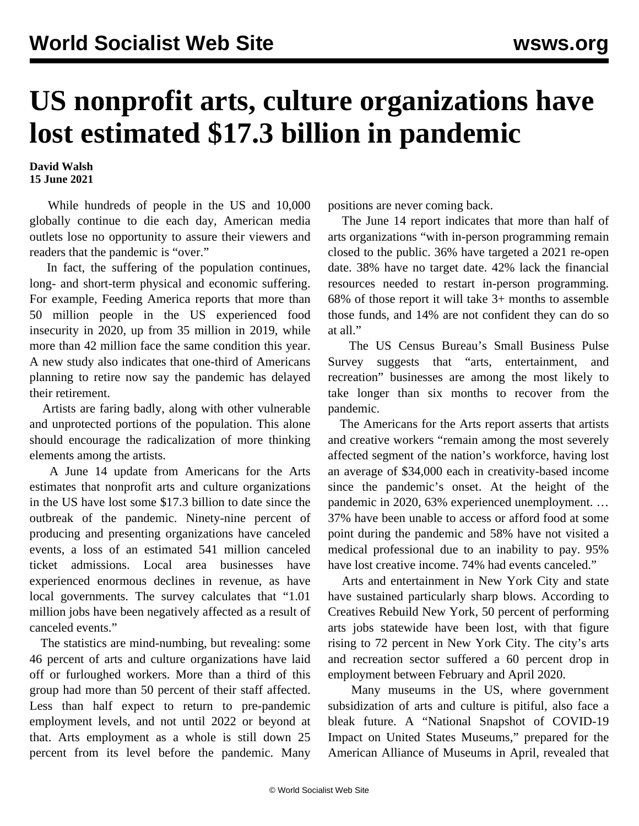## **US nonprofit arts, culture organizations have lost estimated \$17.3 billion in pandemic**

**David Walsh 15 June 2021**

 While hundreds of people in the US and 10,000 globally continue to die each day, American media outlets lose no opportunity to assure their viewers and readers that the pandemic is "over."

 In fact, the suffering of the population continues, long- and short-term physical and economic suffering. For example, Feeding America reports that more than 50 million people in the US experienced food insecurity in 2020, up from 35 million in 2019, while more than 42 million face the same condition this year. A new study also indicates that one-third of Americans planning to retire now say the pandemic has delayed their retirement.

 Artists are faring badly, along with other vulnerable and unprotected portions of the population. This alone should encourage the radicalization of more thinking elements among the artists.

 A June 14 update from Americans for the Arts estimates that nonprofit arts and culture organizations in the US have lost some \$17.3 billion to date since the outbreak of the pandemic. Ninety-nine percent of producing and presenting organizations have canceled events, a loss of an estimated 541 million canceled ticket admissions. Local area businesses have experienced enormous declines in revenue, as have local governments. The survey calculates that "1.01 million jobs have been negatively affected as a result of canceled events."

 The statistics are mind-numbing, but revealing: some 46 percent of arts and culture organizations have laid off or furloughed workers. More than a third of this group had more than 50 percent of their staff affected. Less than half expect to return to pre-pandemic employment levels, and not until 2022 or beyond at that. Arts employment as a whole is still down 25 percent from its level before the pandemic. Many

positions are never coming back.

 The June 14 report indicates that more than half of arts organizations "with in-person programming remain closed to the public. 36% have targeted a 2021 re-open date. 38% have no target date. 42% lack the financial resources needed to restart in-person programming. 68% of those report it will take 3+ months to assemble those funds, and 14% are not confident they can do so at all."

 The US Census Bureau's Small Business Pulse Survey suggests that "arts, entertainment, and recreation" businesses are among the most likely to take longer than six months to recover from the pandemic.

 The Americans for the Arts report asserts that artists and creative workers "remain among the most severely affected segment of the nation's workforce, having lost an average of \$34,000 each in creativity-based income since the pandemic's onset. At the height of the pandemic in 2020, 63% experienced unemployment. … 37% have been unable to access or afford food at some point during the pandemic and 58% have not visited a medical professional due to an inability to pay. 95% have lost creative income. 74% had events canceled."

 Arts and entertainment in New York City and state have sustained particularly sharp blows. According to Creatives Rebuild New York, 50 percent of performing arts jobs statewide have been lost, with that figure rising to 72 percent in New York City. The city's arts and recreation sector suffered a 60 percent drop in employment between February and April 2020.

 Many museums in the US, where government subsidization of arts and culture is pitiful, also face a bleak future. A "National Snapshot of COVID-19 Impact on United States Museums," prepared for the American Alliance of Museums in April, revealed that